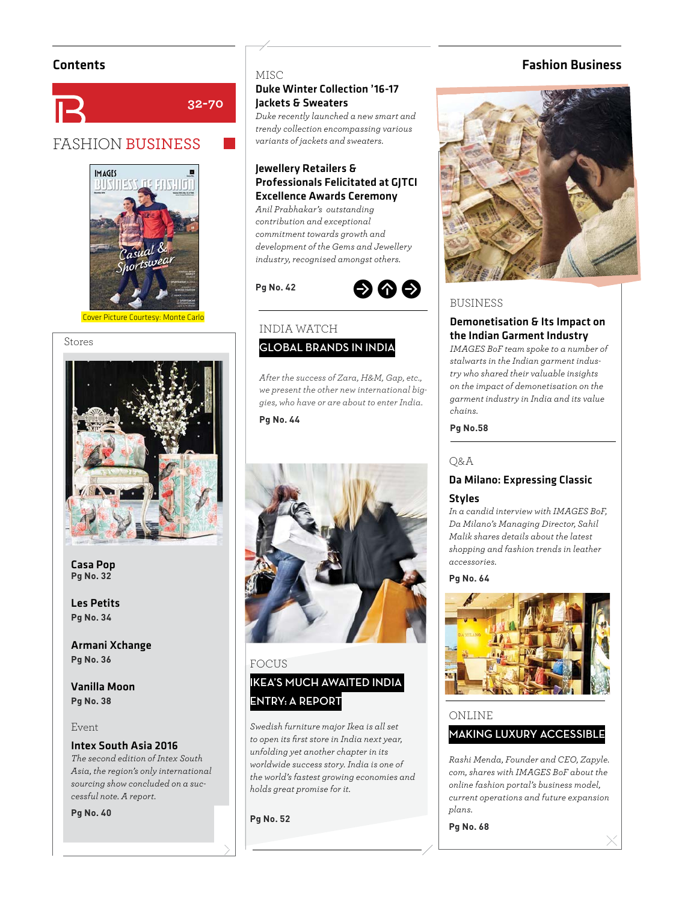

## FASHION BUSINESS



Cover Picture Courtesy: Monte Carlo

#### Stores



Casa Pop<br>Pg No. 32 **Pg No. 32**

Les Petits **Pa No. 34 Pg No. 34**

Armani Xchange **Pa No. 36 Pg No. 36**

Vanilla Moon **Pa No. 38 Pg No. 38**

#### Event

#### Intex South Asia 2016

*The second edition of Intex South Asia, the region's only international sourcing show concluded on a successful note. A report.*

**Pg No. 40**

#### **MISC**

**32-70**

#### Duke Winter Collection '16-17 Jackets & Sweaters

*Duke recently launched a new smart and trendy collection encompassing various variants of jackets and sweaters.*

#### Jewellery Retailers & Professionals Felicitated at GJTCI Excellence Awards Ceremony

*Anil Prabhakar's outstanding contribution and exceptional commitment towards growth and development of the Gems and Jewellery industry, recognised amongst others.*



#### INDIA WATCH **GLOBAL BRANDS IN INDIA**

*After the success of Zara, H&M, Gap, etc., we present the other new international biggies, who have or are about to enter India.*

**Pa No. 44 Pg No. 44**



## FOCUS **IKEA'S MUCH AWAITED INDIA ENTRY: A REPORT**

*Swedish furniture major Ikea is all set to open its fi rst store in India next year, unfolding yet another chapter in its worldwide success story. India is one of the world's fastest growing economies and holds great promise for it.*

**Pg No. 52**

#### Contents Fashion Business



#### BUSINESS

#### Demonetisation & Its Impact on the Indian Garment Industry

*IMAGES BoF team spoke to a number of stalwarts in the Indian garment industry who shared their valuable insights on the impact of demonetisation on the garment industry in India and its value chains.*

## **Pg No.58**

#### Q&A

## Da Milano: Expressing Classic

#### **Styles**

*In a candid interview with IMAGES BoF, Da Milano's Managing Director, Sahil Malik shares details about the latest shopping and fashion trends in leather accessories.*



#### ONLINE

#### **MAKING LUXURY ACCESSIBLE**

*Rashi Menda, Founder and CEO, Zapyle. com, shares with IMAGES BoF about the online fashion portal's business model, current operations and future expansion plans.*

**Pg No. 68**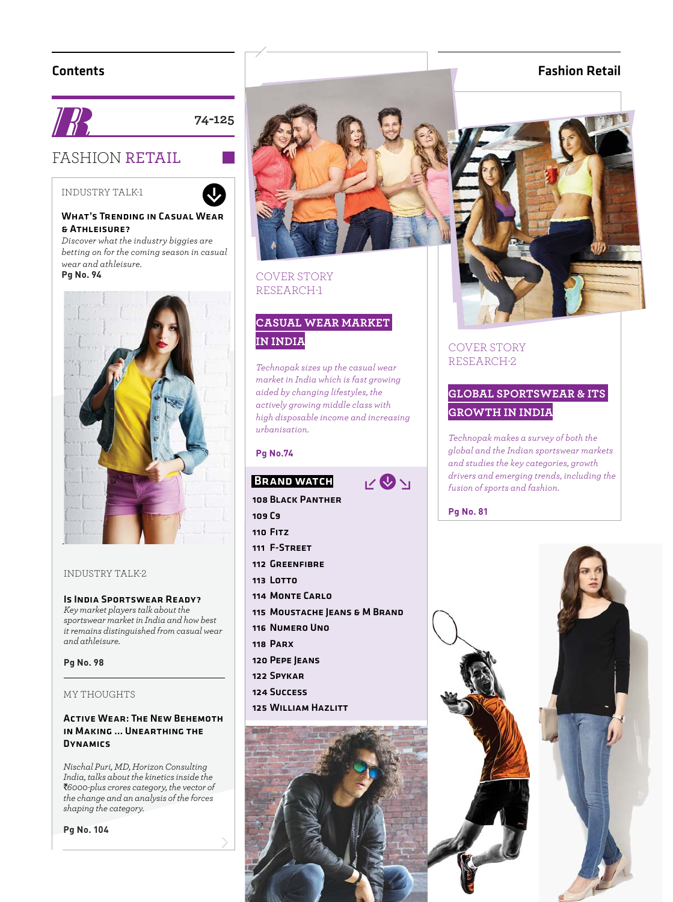#### Contents



**74-125**

 $\overline{\mathbf{Q}}$ 

## FASHION RETAIL

INDUSTRY TALK-1



#### What's Trending in Casual Wear & Athleisure?

*Discover what the industry biggies are betting on for the coming season in casual wear and athleisure.*



#### INDUSTRY TALK-2

#### Is India Sportswear Ready?

*Key market players talk about the sportswear market in India and how best it remains distinguished from casual wear and athleisure.*

## **Pg No. 98**

#### MY THOUGHTS

#### Active Wear: The New Behemoth in Making … Unearthing the **DYNAMICS**

*Nischal Puri, MD, Horizon Consulting India, talks about the kinetics inside the*  `*6000-plus crores category, the vector of the change and an analysis of the forces shaping the category.*

**Pg No. 104**



#### COVER STORY RESEARCH-1

## **CASUAL WEAR MARKET IN INDIA**

*Technopak sizes up the casual wear market in India which is fast growing aided by changing lifestyles, the actively growing middle class with high disposable income and increasing urbanisation.*

 $V$ 

#### **Pa No.74 Pg No.74**

#### **BRAND WATCH**

108 Black Panther

- 109 C9
- 110 Fitz
- 111 F-Street
- 112 GREENFIRDE
- 113 LOTTO
- 114 MONTE CARLO
- 115 MOUSTACHE JEANS & M BRAND
- 116 Numero Uno
- 118 Parx
- 120 Pepe Jeans
- 122 Spykar
- 124 Success
- 125 William Hazlitt



#### Fashion Retail



#### COVER STORY RESEARCH-2

## **GLOBAL SPORTSWEAR & ITS GROWTH IN INDIA**

*Technopak makes a survey of both the global and the Indian sportswear markets and studies the key categories, growth drivers and emerging trends, including the fusion of sports and fashion.*

**Pg No. 81**